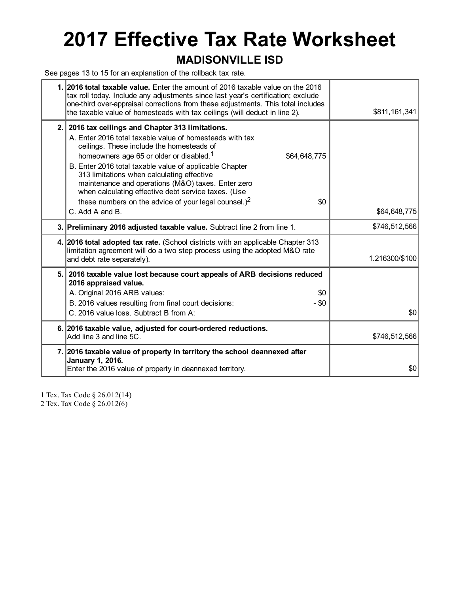# 2017 Effective Tax Rate Worksheet

### MADISONVILLE ISD

See pages 13 to 15 for an explanation of the rollback tax rate.

|     | 1. 2016 total taxable value. Enter the amount of 2016 taxable value on the 2016<br>tax roll today. Include any adjustments since last year's certification; exclude<br>one-third over-appraisal corrections from these adjustments. This total includes<br>the taxable value of homesteads with tax ceilings (will deduct in line 2).                                                                                                                                                                                   | \$811, 161, 341 |
|-----|-------------------------------------------------------------------------------------------------------------------------------------------------------------------------------------------------------------------------------------------------------------------------------------------------------------------------------------------------------------------------------------------------------------------------------------------------------------------------------------------------------------------------|-----------------|
| 2.1 | 2016 tax ceilings and Chapter 313 limitations.<br>A. Enter 2016 total taxable value of homesteads with tax<br>ceilings. These include the homesteads of<br>homeowners age 65 or older or disabled. <sup>1</sup><br>\$64,648,775<br>B. Enter 2016 total taxable value of applicable Chapter<br>313 limitations when calculating effective<br>maintenance and operations (M&O) taxes. Enter zero<br>when calculating effective debt service taxes. (Use<br>these numbers on the advice of your legal counsel.) $2$<br>\$0 |                 |
|     | C. Add A and B.                                                                                                                                                                                                                                                                                                                                                                                                                                                                                                         | \$64,648,775    |
|     | 3. Preliminary 2016 adjusted taxable value. Subtract line 2 from line 1.                                                                                                                                                                                                                                                                                                                                                                                                                                                | \$746,512,566   |
|     | 4. 2016 total adopted tax rate. (School districts with an applicable Chapter 313<br>limitation agreement will do a two step process using the adopted M&O rate<br>and debt rate separately).                                                                                                                                                                                                                                                                                                                            | 1.216300/\$100  |
| 5.1 | 2016 taxable value lost because court appeals of ARB decisions reduced<br>2016 appraised value.<br>A. Original 2016 ARB values:<br>\$0<br>B. 2016 values resulting from final court decisions:<br>- \$0<br>C. 2016 value loss. Subtract B from A:                                                                                                                                                                                                                                                                       | \$0             |
|     | 6. 2016 taxable value, adjusted for court-ordered reductions.<br>Add line 3 and line 5C.                                                                                                                                                                                                                                                                                                                                                                                                                                | \$746,512,566   |
|     | 7. 2016 taxable value of property in territory the school deannexed after<br>January 1, 2016.<br>Enter the 2016 value of property in deannexed territory.                                                                                                                                                                                                                                                                                                                                                               | \$0             |
|     |                                                                                                                                                                                                                                                                                                                                                                                                                                                                                                                         |                 |

1 Tex. Tax Code § 26.012(14)

2 Tex. Tax Code § 26.012(6)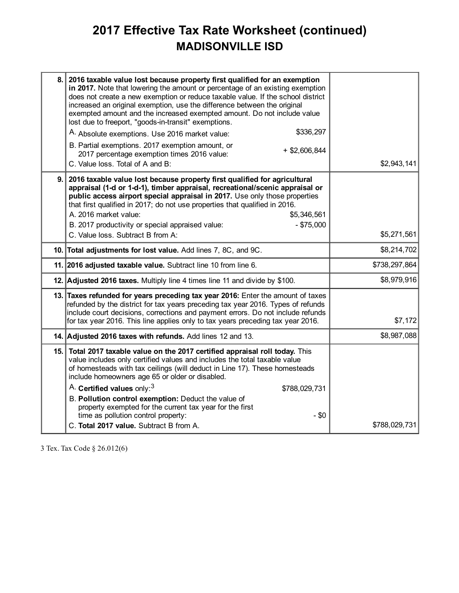## 2017 Effective Tax Rate Worksheet (continued) MADISONVILLE ISD

| 8. | 2016 taxable value lost because property first qualified for an exemption<br>in 2017. Note that lowering the amount or percentage of an existing exemption<br>does not create a new exemption or reduce taxable value. If the school district<br>increased an original exemption, use the difference between the original<br>exempted amount and the increased exempted amount. Do not include value<br>lost due to freeport, "goods-in-transit" exemptions.            |               |
|----|-------------------------------------------------------------------------------------------------------------------------------------------------------------------------------------------------------------------------------------------------------------------------------------------------------------------------------------------------------------------------------------------------------------------------------------------------------------------------|---------------|
|    | \$336,297<br>A. Absolute exemptions. Use 2016 market value:                                                                                                                                                                                                                                                                                                                                                                                                             |               |
|    | B. Partial exemptions. 2017 exemption amount, or<br>$+$ \$2,606,844<br>2017 percentage exemption times 2016 value:<br>C. Value loss. Total of A and B:                                                                                                                                                                                                                                                                                                                  | \$2,943,141   |
| 9. | 2016 taxable value lost because property first qualified for agricultural<br>appraisal (1-d or 1-d-1), timber appraisal, recreational/scenic appraisal or<br>public access airport special appraisal in 2017. Use only those properties<br>that first qualified in 2017; do not use properties that qualified in 2016.<br>A. 2016 market value:<br>\$5,346,561<br>$-$ \$75,000<br>B. 2017 productivity or special appraised value:<br>C. Value loss. Subtract B from A: | \$5,271,561   |
|    |                                                                                                                                                                                                                                                                                                                                                                                                                                                                         |               |
|    | 10. Total adjustments for lost value. Add lines 7, 8C, and 9C.                                                                                                                                                                                                                                                                                                                                                                                                          | \$8,214,702   |
|    | 11. 2016 adjusted taxable value. Subtract line 10 from line 6.                                                                                                                                                                                                                                                                                                                                                                                                          | \$738,297,864 |
|    | 12. Adjusted 2016 taxes. Multiply line 4 times line 11 and divide by \$100.                                                                                                                                                                                                                                                                                                                                                                                             | \$8,979,916   |
|    | 13. Taxes refunded for years preceding tax year 2016: Enter the amount of taxes<br>refunded by the district for tax years preceding tax year 2016. Types of refunds<br>include court decisions, corrections and payment errors. Do not include refunds<br>for tax year 2016. This line applies only to tax years preceding tax year 2016.                                                                                                                               | \$7,172       |
|    | 14. Adjusted 2016 taxes with refunds. Add lines 12 and 13.                                                                                                                                                                                                                                                                                                                                                                                                              | \$8,987,088   |
|    | 15. Total 2017 taxable value on the 2017 certified appraisal roll today. This<br>value includes only certified values and includes the total taxable value<br>of homesteads with tax ceilings (will deduct in Line 17). These homesteads<br>include homeowners age 65 or older or disabled.                                                                                                                                                                             |               |
|    | A. Certified values only: <sup>3</sup><br>\$788,029,731                                                                                                                                                                                                                                                                                                                                                                                                                 |               |
|    | B. Pollution control exemption: Deduct the value of<br>property exempted for the current tax year for the first<br>time as pollution control property:<br>$-$ \$0                                                                                                                                                                                                                                                                                                       |               |
|    | C. Total 2017 value. Subtract B from A.                                                                                                                                                                                                                                                                                                                                                                                                                                 | \$788,029,731 |

3 Tex. Tax Code § 26.012(6)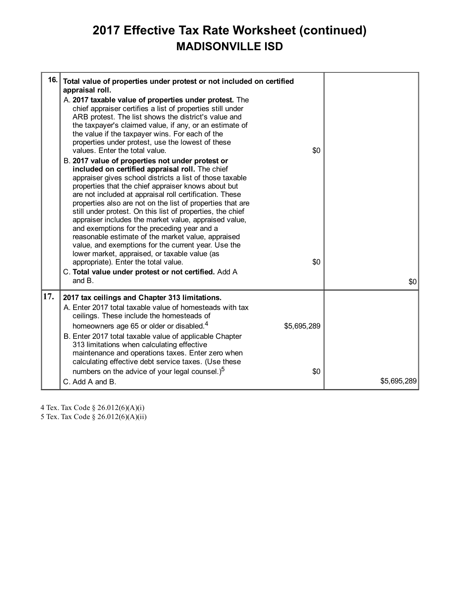## 2017 Effective Tax Rate Worksheet (continued) MADISONVILLE ISD

| 16. | Total value of properties under protest or not included on certified<br>appraisal roll.<br>A. 2017 taxable value of properties under protest. The<br>chief appraiser certifies a list of properties still under<br>ARB protest. The list shows the district's value and<br>the taxpayer's claimed value, if any, or an estimate of<br>the value if the taxpayer wins. For each of the<br>properties under protest, use the lowest of these<br>values. Enter the total value.<br>B. 2017 value of properties not under protest or<br>included on certified appraisal roll. The chief<br>appraiser gives school districts a list of those taxable<br>properties that the chief appraiser knows about but<br>are not included at appraisal roll certification. These<br>properties also are not on the list of properties that are<br>still under protest. On this list of properties, the chief<br>appraiser includes the market value, appraised value,<br>and exemptions for the preceding year and a<br>reasonable estimate of the market value, appraised<br>value, and exemptions for the current year. Use the<br>lower market, appraised, or taxable value (as<br>appropriate). Enter the total value.<br>C. Total value under protest or not certified. Add A<br>and $B$ . | \$0<br>\$0         | \$0         |
|-----|----------------------------------------------------------------------------------------------------------------------------------------------------------------------------------------------------------------------------------------------------------------------------------------------------------------------------------------------------------------------------------------------------------------------------------------------------------------------------------------------------------------------------------------------------------------------------------------------------------------------------------------------------------------------------------------------------------------------------------------------------------------------------------------------------------------------------------------------------------------------------------------------------------------------------------------------------------------------------------------------------------------------------------------------------------------------------------------------------------------------------------------------------------------------------------------------------------------------------------------------------------------------------------|--------------------|-------------|
| 17. | 2017 tax ceilings and Chapter 313 limitations.<br>A. Enter 2017 total taxable value of homesteads with tax<br>ceilings. These include the homesteads of<br>homeowners age 65 or older or disabled. <sup>4</sup><br>B. Enter 2017 total taxable value of applicable Chapter<br>313 limitations when calculating effective<br>maintenance and operations taxes. Enter zero when<br>calculating effective debt service taxes. (Use these<br>numbers on the advice of your legal counsel.) <sup>5</sup><br>C. Add A and B.                                                                                                                                                                                                                                                                                                                                                                                                                                                                                                                                                                                                                                                                                                                                                           | \$5,695,289<br>\$0 | \$5,695,289 |

4 Tex. Tax Code § 26.012(6)(A)(i)

5 Tex. Tax Code § 26.012(6)(A)(ii)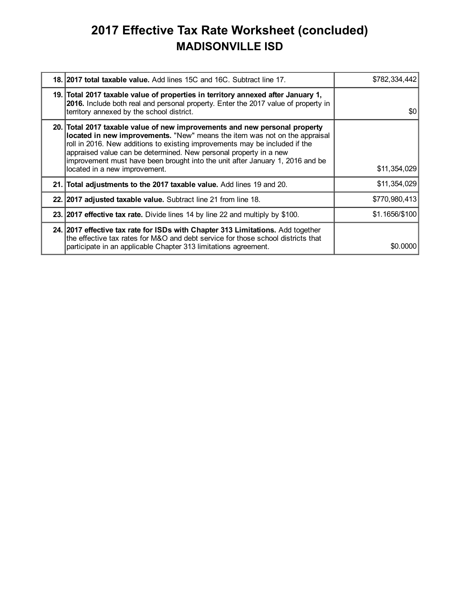## 2017 Effective Tax Rate Worksheet (concluded) MADISONVILLE ISD

| 18. 2017 total taxable value. Add lines 15C and 16C. Subtract line 17.                                                                                                                                                                                                                                                                                                                                                         | \$782,334,442  |
|--------------------------------------------------------------------------------------------------------------------------------------------------------------------------------------------------------------------------------------------------------------------------------------------------------------------------------------------------------------------------------------------------------------------------------|----------------|
| 19. Total 2017 taxable value of properties in territory annexed after January 1,<br>2016. Include both real and personal property. Enter the 2017 value of property in<br>territory annexed by the school district.                                                                                                                                                                                                            | \$0            |
| 20. Total 2017 taxable value of new improvements and new personal property<br>located in new improvements. "New" means the item was not on the appraisal<br>roll in 2016. New additions to existing improvements may be included if the<br>appraised value can be determined. New personal property in a new<br>improvement must have been brought into the unit after January 1, 2016 and be<br>located in a new improvement. | \$11,354,029   |
| 21. Total adjustments to the 2017 taxable value. Add lines 19 and 20.                                                                                                                                                                                                                                                                                                                                                          | \$11,354,029   |
| 22. 2017 adjusted taxable value. Subtract line 21 from line 18.                                                                                                                                                                                                                                                                                                                                                                | \$770,980,413  |
| 23. 2017 effective tax rate. Divide lines 14 by line 22 and multiply by \$100.                                                                                                                                                                                                                                                                                                                                                 | \$1.1656/\$100 |
| 24. 2017 effective tax rate for ISDs with Chapter 313 Limitations. Add together<br>the effective tax rates for M&O and debt service for those school districts that<br>participate in an applicable Chapter 313 limitations agreement.                                                                                                                                                                                         | \$0,0000       |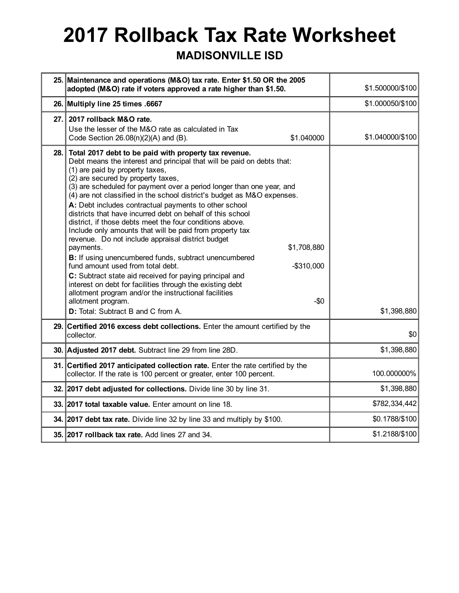# 2017 Rollback Tax Rate Worksheet

#### MADISONVILLE ISD

|      | 25. Maintenance and operations (M&O) tax rate. Enter \$1.50 OR the 2005<br>adopted (M&O) rate if voters approved a rate higher than \$1.50.                                                                                                                                                                                                                                                                                                                                                                                                                                                                                                                                                                                                                                                                                                                                                                                                                                                                                                                       | \$1.500000/\$100 |
|------|-------------------------------------------------------------------------------------------------------------------------------------------------------------------------------------------------------------------------------------------------------------------------------------------------------------------------------------------------------------------------------------------------------------------------------------------------------------------------------------------------------------------------------------------------------------------------------------------------------------------------------------------------------------------------------------------------------------------------------------------------------------------------------------------------------------------------------------------------------------------------------------------------------------------------------------------------------------------------------------------------------------------------------------------------------------------|------------------|
|      | 26. Multiply line 25 times .6667                                                                                                                                                                                                                                                                                                                                                                                                                                                                                                                                                                                                                                                                                                                                                                                                                                                                                                                                                                                                                                  | \$1.000050/\$100 |
| 27.1 | 2017 rollback M&O rate.<br>Use the lesser of the M&O rate as calculated in Tax<br>\$1.040000<br>Code Section $26.08(n)(2)(A)$ and (B).                                                                                                                                                                                                                                                                                                                                                                                                                                                                                                                                                                                                                                                                                                                                                                                                                                                                                                                            | \$1.040000/\$100 |
| 28.  | Total 2017 debt to be paid with property tax revenue.<br>Debt means the interest and principal that will be paid on debts that:<br>(1) are paid by property taxes,<br>(2) are secured by property taxes,<br>(3) are scheduled for payment over a period longer than one year, and<br>(4) are not classified in the school district's budget as M&O expenses.<br>A: Debt includes contractual payments to other school<br>districts that have incurred debt on behalf of this school<br>district, if those debts meet the four conditions above.<br>Include only amounts that will be paid from property tax<br>revenue. Do not include appraisal district budget<br>payments.<br>\$1,708,880<br>B: If using unencumbered funds, subtract unencumbered<br>fund amount used from total debt.<br>$-$ \$310,000<br>C: Subtract state aid received for paying principal and<br>interest on debt for facilities through the existing debt<br>allotment program and/or the instructional facilities<br>allotment program.<br>$-50$<br>D: Total: Subtract B and C from A. | \$1,398,880      |
| 29.1 | Certified 2016 excess debt collections. Enter the amount certified by the<br>collector.                                                                                                                                                                                                                                                                                                                                                                                                                                                                                                                                                                                                                                                                                                                                                                                                                                                                                                                                                                           | \$0              |
|      | 30. Adjusted 2017 debt. Subtract line 29 from line 28D.                                                                                                                                                                                                                                                                                                                                                                                                                                                                                                                                                                                                                                                                                                                                                                                                                                                                                                                                                                                                           | \$1,398,880      |
|      | 31. Certified 2017 anticipated collection rate. Enter the rate certified by the<br>collector. If the rate is 100 percent or greater, enter 100 percent.                                                                                                                                                                                                                                                                                                                                                                                                                                                                                                                                                                                                                                                                                                                                                                                                                                                                                                           | 100.000000%      |
|      | 32. 2017 debt adjusted for collections. Divide line 30 by line 31.                                                                                                                                                                                                                                                                                                                                                                                                                                                                                                                                                                                                                                                                                                                                                                                                                                                                                                                                                                                                | \$1,398,880      |
|      | 33. 2017 total taxable value. Enter amount on line 18.                                                                                                                                                                                                                                                                                                                                                                                                                                                                                                                                                                                                                                                                                                                                                                                                                                                                                                                                                                                                            | \$782,334,442    |
|      | 34. 2017 debt tax rate. Divide line 32 by line 33 and multiply by \$100.                                                                                                                                                                                                                                                                                                                                                                                                                                                                                                                                                                                                                                                                                                                                                                                                                                                                                                                                                                                          | \$0.1788/\$100   |
|      | 35. 2017 rollback tax rate. Add lines 27 and 34.                                                                                                                                                                                                                                                                                                                                                                                                                                                                                                                                                                                                                                                                                                                                                                                                                                                                                                                                                                                                                  | \$1.2188/\$100   |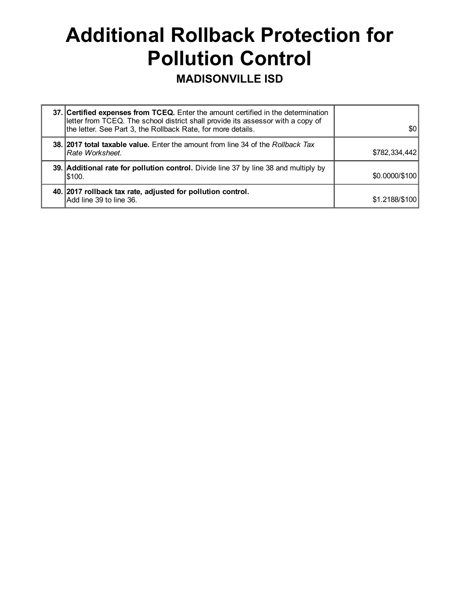# Additional Rollback Protection for Pollution Control

### MADISONVILLE ISD

| 37. Certified expenses from TCEQ. Enter the amount certified in the determination<br>letter from TCEQ. The school district shall provide its assessor with a copy of<br>the letter. See Part 3, the Rollback Rate, for more details. | \$0 <sub>1</sub> |
|--------------------------------------------------------------------------------------------------------------------------------------------------------------------------------------------------------------------------------------|------------------|
| <b>38. 2017 total taxable value.</b> Enter the amount from line 34 of the Rollback Tax<br> Rate Worksheet.                                                                                                                           | \$782,334,442    |
| 39. Additional rate for pollution control. Divide line 37 by line 38 and multiply by<br>I\$100.                                                                                                                                      | \$0,0000/\$100   |
| 40. 2017 rollback tax rate, adjusted for pollution control.<br>Add line 39 to line 36.                                                                                                                                               | \$1.2188/\$100   |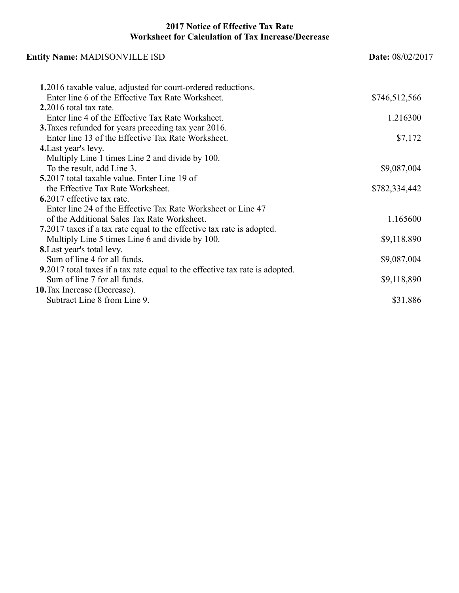#### 2017 Notice of Effective Tax Rate Worksheet for Calculation of Tax Increase/Decrease

| <b>Entity Name: MADISONVILLE ISD</b>                                         | Date: 08/02/2017 |  |
|------------------------------------------------------------------------------|------------------|--|
| 1.2016 taxable value, adjusted for court-ordered reductions.                 |                  |  |
| Enter line 6 of the Effective Tax Rate Worksheet.                            | \$746,512,566    |  |
| $2.2016$ total tax rate.                                                     |                  |  |
| Enter line 4 of the Effective Tax Rate Worksheet.                            | 1.216300         |  |
| <b>3.</b> Taxes refunded for years preceding tax year 2016.                  |                  |  |
| Enter line 13 of the Effective Tax Rate Worksheet.                           | \$7,172          |  |
| 4. Last year's levy.                                                         |                  |  |
| Multiply Line 1 times Line 2 and divide by 100.                              |                  |  |
| To the result, add Line 3.                                                   | \$9,087,004      |  |
| 5.2017 total taxable value. Enter Line 19 of                                 |                  |  |
| the Effective Tax Rate Worksheet.                                            | \$782,334,442    |  |
| 6.2017 effective tax rate.                                                   |                  |  |
| Enter line 24 of the Effective Tax Rate Worksheet or Line 47                 |                  |  |
| of the Additional Sales Tax Rate Worksheet.                                  | 1.165600         |  |
| 7.2017 taxes if a tax rate equal to the effective tax rate is adopted.       |                  |  |
| Multiply Line 5 times Line 6 and divide by 100.                              | \$9,118,890      |  |
| <b>8.</b> Last year's total levy.                                            |                  |  |
| Sum of line 4 for all funds.                                                 | \$9,087,004      |  |
| 9.2017 total taxes if a tax rate equal to the effective tax rate is adopted. |                  |  |
| Sum of line 7 for all funds.                                                 | \$9,118,890      |  |
| 10. Tax Increase (Decrease).                                                 |                  |  |
| Subtract Line 8 from Line 9.                                                 | \$31,886         |  |
|                                                                              |                  |  |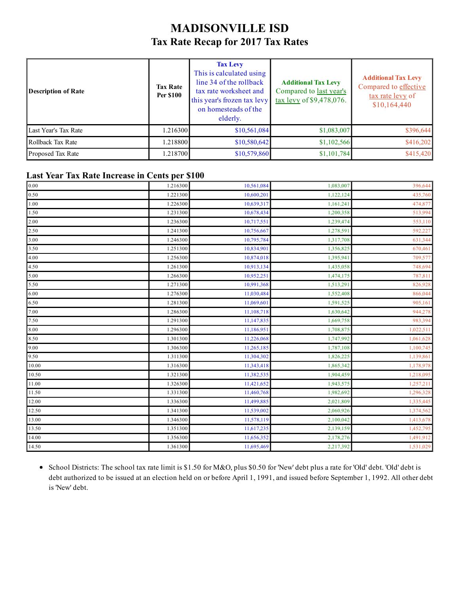### MADISONVILLE ISD Tax Rate Recap for 2017 Tax Rates

| <b>Description of Rate</b> | <b>Tax Rate</b><br><b>Per \$100</b> | <b>Tax Levy</b><br>This is calculated using<br>line 34 of the rollback<br>tax rate worksheet and<br>this year's frozen tax levy<br>on homesteads of the<br>elderly. | <b>Additional Tax Levy</b><br>Compared to last year's<br>tax levy of \$9,478,076. | <b>Additional Tax Levy</b><br>Compared to effective<br>tax rate levy of<br>\$10,164,440 |
|----------------------------|-------------------------------------|---------------------------------------------------------------------------------------------------------------------------------------------------------------------|-----------------------------------------------------------------------------------|-----------------------------------------------------------------------------------------|
| Last Year's Tax Rate       | 1.216300                            | \$10,561,084                                                                                                                                                        | \$1,083,007                                                                       | \$396,644                                                                               |
| Rollback Tax Rate          | 1.218800                            | \$10,580,642                                                                                                                                                        | \$1,102,566                                                                       | \$416,202                                                                               |
| Proposed Tax Rate          | 1.218700                            | \$10,579,860                                                                                                                                                        | \$1,101,784                                                                       | \$415,420                                                                               |

#### Last Year Tax Rate Increase in Cents per \$100

| 0.00  | 1.216300 | 10,561,084 | 1,083,007 | 396,644   |
|-------|----------|------------|-----------|-----------|
| 0.50  | 1.221300 | 10,600,201 | 1,122,124 | 435,760   |
| 1.00  | 1.226300 | 10,639,317 | 1,161,241 | 474,877   |
| 1.50  | 1.231300 | 10,678,434 | 1,200,358 | 513,994   |
| 2.00  | 1.236300 | 10,717,551 | 1,239,474 | 553,110   |
| 2.50  | 1.241300 | 10,756,667 | 1,278,591 | 592,227   |
| 3.00  | 1.246300 | 10,795,784 | 1,317,708 | 631,344   |
| 3.50  | 1.251300 | 10,834,901 | 1,356,825 | 670,461   |
| 4.00  | 1.256300 | 10,874,018 | 1,395,941 | 709,577   |
| 4.50  | 1.261300 | 10,913,134 | 1,435,058 | 748,694   |
| 5.00  | 1.266300 | 10,952,251 | 1,474,175 | 787,811   |
| 5.50  | 1.271300 | 10,991,368 | 1,513,291 | 826,928   |
| 6.00  | 1.276300 | 11,030,484 | 1,552,408 | 866,044   |
| 6.50  | 1.281300 | 11,069,601 | 1,591,525 | 905,161   |
| 7.00  | 1.286300 | 11,108,718 | 1,630,642 | 944,278   |
| 7.50  | 1.291300 | 11,147,835 | 1,669,758 | 983,394   |
| 8.00  | 1.296300 | 11,186,951 | 1,708,875 | 1,022,511 |
| 8.50  | 1.301300 | 11,226,068 | 1,747,992 | 1,061,628 |
| 9.00  | 1.306300 | 11,265,185 | 1,787,108 | 1,100,745 |
| 9.50  | 1.311300 | 11,304,302 | 1,826,225 | 1,139,861 |
| 10.00 | 1.316300 | 11,343,418 | 1,865,342 | 1,178,978 |
| 10.50 | 1.321300 | 11,382,535 | 1,904,459 | 1,218,095 |
| 11.00 | 1.326300 | 11,421,652 | 1,943,575 | 1,257,211 |
| 11.50 | 1.331300 | 11,460,768 | 1,982,692 | 1,296,328 |
| 12.00 | 1.336300 | 11,499,885 | 2,021,809 | 1,335,445 |
| 12.50 | 1.341300 | 11,539,002 | 2,060,926 | 1,374,562 |
| 13.00 | 1.346300 | 11,578,119 | 2,100,042 | 1,413,678 |
| 13.50 | 1.351300 | 11,617,235 | 2,139,159 | 1,452,795 |
| 14.00 | 1.356300 | 11,656,352 | 2,178,276 | 1,491,912 |
| 14.50 | 1.361300 | 11,695,469 | 2,217,392 | 1,531,029 |

School Districts: The school tax rate limit is \$1.50 for M&O, plus \$0.50 for 'New' debt plus a rate for 'Old' debt. 'Old' debt is debt authorized to be issued at an election held on or before April 1, 1991, and issued before September 1, 1992. All other debt is 'New' debt.